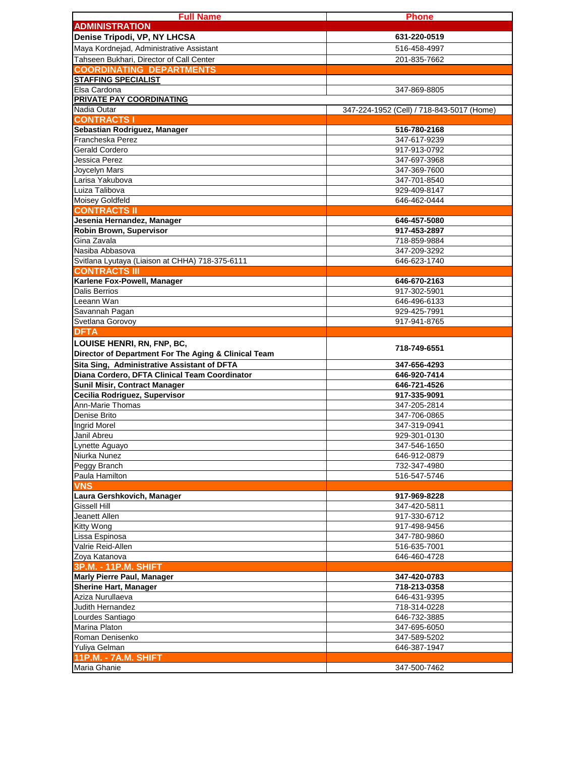| <b>Full Name</b>                                                            | <b>Phone</b>                              |
|-----------------------------------------------------------------------------|-------------------------------------------|
| <b>ADMINISTRATION</b>                                                       |                                           |
| Denise Tripodi, VP, NY LHCSA                                                | 631-220-0519                              |
| Maya Kordnejad, Administrative Assistant                                    | 516-458-4997                              |
| Tahseen Bukhari, Director of Call Center<br><b>COORDINATING DEPARTMENTS</b> | 201-835-7662                              |
| <b>STAFFING SPECIALIST</b>                                                  |                                           |
| Elsa Cardona                                                                | 347-869-8805                              |
| <b>PRIVATE PAY COORDINATING</b>                                             |                                           |
| Nadia Outar                                                                 | 347-224-1952 (Cell) / 718-843-5017 (Home) |
| <b>CONTRACTS I</b>                                                          |                                           |
| Sebastian Rodriguez, Manager                                                | 516-780-2168                              |
| Francheska Perez                                                            | 347-617-9239                              |
| Gerald Cordero                                                              | 917-913-0792                              |
| Jessica Perez                                                               | 347-697-3968                              |
| Joycelyn Mars                                                               | 347-369-7600                              |
| Larisa Yakubova<br>Luiza Talibova                                           | 347-701-8540                              |
| Moisey Goldfeld                                                             | 929-409-8147<br>646-462-0444              |
| <b>CONTRACTS II</b>                                                         |                                           |
| Jesenia Hernandez, Manager                                                  | 646-457-5080                              |
| Robin Brown, Supervisor                                                     | 917-453-2897                              |
| Gina Zavala                                                                 | 718-859-9884                              |
| Nasiba Abbasova                                                             | 347-209-3292                              |
| Svitlana Lyutaya (Liaison at CHHA) 718-375-6111                             | 646-623-1740                              |
| <b>CONTRACTS III</b>                                                        |                                           |
| Karlene Fox-Powell, Manager                                                 | 646-670-2163                              |
| <b>Dalis Berrios</b>                                                        | 917-302-5901                              |
| Leeann Wan                                                                  | 646-496-6133                              |
| Savannah Pagan                                                              | 929-425-7991                              |
| Svetlana Gorovoy                                                            | 917-941-8765                              |
| <b>DFTA</b>                                                                 |                                           |
| LOUISE HENRI, RN, FNP, BC,                                                  | 718-749-6551                              |
| Director of Department For The Aging & Clinical Team                        |                                           |
| Sita Sing, Administrative Assistant of DFTA                                 | 347-656-4293                              |
| Diana Cordero, DFTA Clinical Team Coordinator                               | 646-920-7414                              |
| <b>Sunil Misir, Contract Manager</b>                                        | 646-721-4526                              |
| Cecilia Rodriguez, Supervisor<br>Ann-Marie Thomas                           | 917-335-9091<br>347-205-2814              |
| Denise Brito                                                                | 347-706-0865                              |
| Ingrid Morel                                                                | 347-319-0941                              |
| Janil Abreu                                                                 | 929-301-0130                              |
| Lynette Aguayo                                                              | 347-546-1650                              |
| Niurka Nunez                                                                | 646-912-0879                              |
| Peggy Branch                                                                | 732-347-4980                              |
| Paula Hamilton                                                              | 516-547-5746                              |
| <b>VNS</b>                                                                  |                                           |
| Laura Gershkovich, Manager                                                  | 917-969-8228                              |
| Gissell Hill                                                                | 347-420-5811                              |
| Jeanett Allen                                                               | 917-330-6712                              |
| Kitty Wong                                                                  | 917-498-9456                              |
| Lissa Espinosa                                                              | 347-780-9860                              |
| Valrie Reid-Allen                                                           | 516-635-7001                              |
| Zoya Katanova                                                               | 646-460-4728                              |
| 3P.M. - 11P.M. SHIFT                                                        |                                           |
| <b>Marly Pierre Paul, Manager</b>                                           | 347-420-0783                              |
| <b>Sherine Hart, Manager</b><br>Aziza Nurullaeva                            | 718-213-0358<br>646-431-9395              |
| Judith Hernandez                                                            | 718-314-0228                              |
| Lourdes Santiago                                                            | 646-732-3885                              |
| Marina Platon                                                               | 347-695-6050                              |
| Roman Denisenko                                                             | 347-589-5202                              |
| Yuliya Gelman                                                               | 646-387-1947                              |
| <b>11P.M. - 7A.M. SHIFT</b>                                                 |                                           |
| Maria Ghanie                                                                | 347-500-7462                              |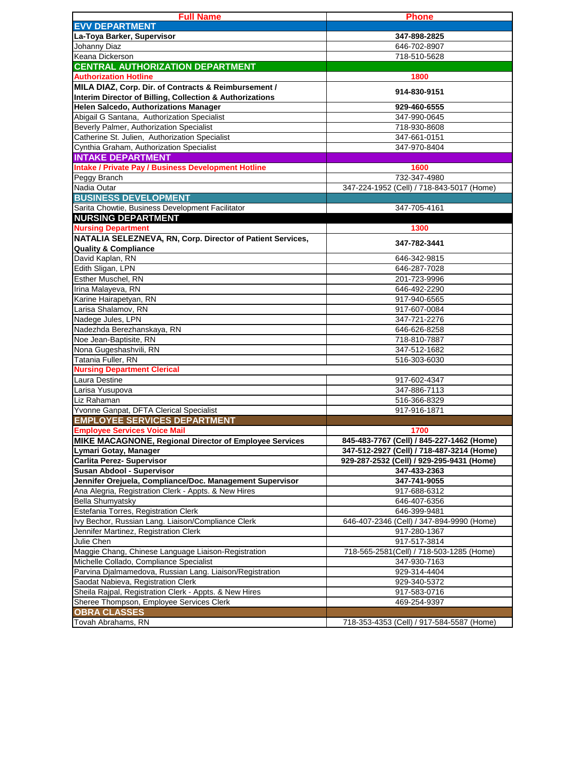| <b>Full Name</b>                                                                | <b>Phone</b>                              |
|---------------------------------------------------------------------------------|-------------------------------------------|
| <b>EVV DEPARTMENT</b>                                                           |                                           |
| La-Toya Barker, Supervisor                                                      | 347-898-2825                              |
| Johanny Diaz                                                                    | 646-702-8907                              |
| Keana Dickerson                                                                 | 718-510-5628                              |
| <b>CENTRAL AUTHORIZATION DEPARTMENT</b>                                         |                                           |
| <b>Authorization Hotline</b>                                                    | 1800                                      |
| MILA DIAZ, Corp. Dir. of Contracts & Reimbursement /                            | 914-830-9151                              |
| Interim Director of Billing, Collection & Authorizations                        |                                           |
| <b>Helen Salcedo, Authorizations Manager</b>                                    | 929-460-6555                              |
| Abigail G Santana, Authorization Specialist                                     | 347-990-0645                              |
| Beverly Palmer, Authorization Specialist                                        | 718-930-8608                              |
| Catherine St. Julien, Authorization Specialist                                  | 347-661-0151                              |
| Cynthia Graham, Authorization Specialist                                        | 347-970-8404                              |
| <b>INTAKE DEPARTMENT</b>                                                        |                                           |
| <b>Intake / Private Pay / Business Development Hotline</b>                      | 1600                                      |
| Peggy Branch                                                                    | 732-347-4980                              |
| Nadia Outar                                                                     | 347-224-1952 (Cell) / 718-843-5017 (Home) |
| <b>BUSINESS DEVELOPMENT</b>                                                     |                                           |
| Sarita Chowtie, Business Development Facilitator                                | 347-705-4161                              |
| <b>NURSING DEPARTMENT</b><br><b>Nursing Department</b>                          | 1300                                      |
| NATALIA SELEZNEVA, RN, Corp. Director of Patient Services,                      |                                           |
| <b>Quality &amp; Compliance</b>                                                 | 347-782-3441                              |
| David Kaplan, RN                                                                | 646-342-9815                              |
| Edith Sligan, LPN                                                               | 646-287-7028                              |
| Esther Muschel, RN                                                              | 201-723-9996                              |
| Irina Malayeva, RN                                                              | 646-492-2290                              |
| Karine Hairapetyan, RN                                                          | 917-940-6565                              |
| Larisa Shalamov, RN                                                             | 917-607-0084                              |
| Nadege Jules, LPN                                                               | 347-721-2276                              |
| Nadezhda Berezhanskaya, RN                                                      | 646-626-8258                              |
| Noe Jean-Baptisite, RN                                                          | 718-810-7887                              |
| Nona Gugeshashvili, RN                                                          | 347-512-1682                              |
| Tatania Fuller, RN                                                              | 516-303-6030                              |
| <b>Nursing Department Clerical</b>                                              |                                           |
| Laura Destine                                                                   | 917-602-4347                              |
| Larisa Yusupova                                                                 | 347-886-7113                              |
| Liz Rahaman                                                                     | 516-366-8329                              |
| Yvonne Ganpat, DFTA Clerical Specialist                                         | 917-916-1871                              |
| <b>EMPLOYEE SERVICES DEPARTMENT</b>                                             |                                           |
| <b>Employee Services Voice Mail</b>                                             | 1700                                      |
| MIKE MACAGNONE, Regional Director of Employee Services                          | 845-483-7767 (Cell) / 845-227-1462 (Home) |
| Lymari Gotay, Manager                                                           | 347-512-2927 (Cell) / 718-487-3214 (Home) |
| <b>Carlita Perez- Supervisor</b>                                                | 929-287-2532 (Cell) / 929-295-9431 (Home) |
| Susan Abdool - Supervisor                                                       | 347-433-2363                              |
| Jennifer Orejuela, Compliance/Doc. Management Supervisor                        | 347-741-9055<br>917-688-6312              |
| Ana Alegria, Registration Clerk - Appts. & New Hires<br><b>Bella Shumyatsky</b> | 646-407-6356                              |
| Estefania Torres, Registration Clerk                                            | 646-399-9481                              |
| Ivy Bechor, Russian Lang. Liaison/Compliance Clerk                              | 646-407-2346 (Cell) / 347-894-9990 (Home) |
| Jennifer Martinez, Registration Clerk                                           | 917-280-1367                              |
| Julie Chen                                                                      | 917-517-3814                              |
| Maggie Chang, Chinese Language Liaison-Registration                             | 718-565-2581(Cell) / 718-503-1285 (Home)  |
| Michelle Collado, Compliance Specialist                                         | 347-930-7163                              |
| Parvina Djalmamedova, Russian Lang. Liaison/Registration                        | 929-314-4404                              |
| Saodat Nabieva, Registration Clerk                                              | 929-340-5372                              |
| Sheila Rajpal, Registration Clerk - Appts. & New Hires                          | 917-583-0716                              |
| Sheree Thompson, Employee Services Clerk                                        | 469-254-9397                              |
| <b>OBRA CLASSES</b>                                                             |                                           |
| Tovah Abrahams, RN                                                              | 718-353-4353 (Cell) / 917-584-5587 (Home) |
|                                                                                 |                                           |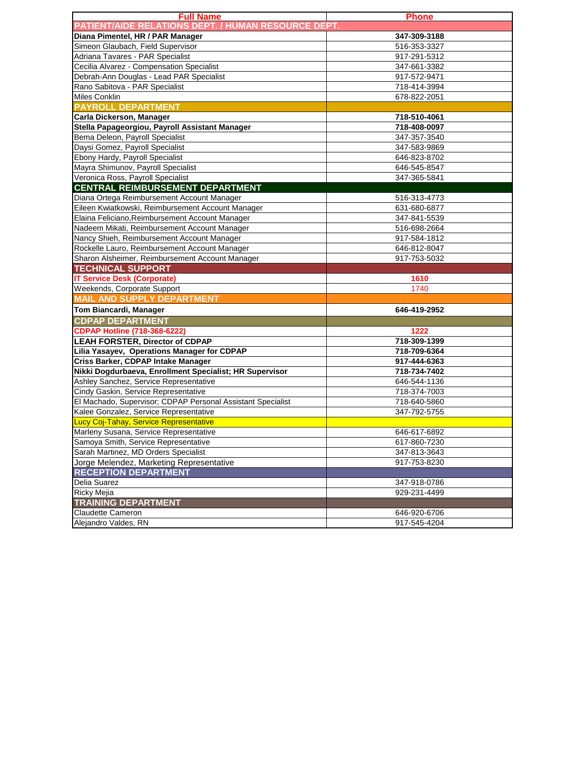| <b>Full Name</b>                                            | <b>Phone</b> |
|-------------------------------------------------------------|--------------|
| <b>PATIENT/AIDE RELATIONS DEPT. / HUMAN RESOURCE DEPT.</b>  |              |
| Diana Pimentel, HR / PAR Manager                            | 347-309-3188 |
| Simeon Glaubach, Field Supervisor                           | 516-353-3327 |
| Adriana Tavares - PAR Specialist                            | 917-291-5312 |
| Cecilia Alvarez - Compensation Specialist                   | 347-661-3382 |
| Debrah-Ann Douglas - Lead PAR Specialist                    | 917-572-9471 |
| Rano Sabitova - PAR Specialist                              | 718-414-3994 |
| <b>Miles Conklin</b>                                        | 678-822-2051 |
| <b>PAYROLL DEPARTMENT</b>                                   |              |
| Carla Dickerson, Manager                                    | 718-510-4061 |
| Stella Papageorgiou, Payroll Assistant Manager              | 718-408-0097 |
| Bema Deleon, Payroll Specialist                             | 347-357-3540 |
| Daysi Gomez, Payroll Specialist                             | 347-583-9869 |
| Ebony Hardy, Payroll Specialist                             | 646-823-8702 |
| Mayra Shimunov, Payroll Specialist                          | 646-545-8547 |
| Veronica Ross, Payroll Specialist                           | 347-365-5841 |
| <b>CENTRAL REIMBURSEMENT DEPARTMENT</b>                     |              |
| Diana Ortega Reimbursement Account Manager                  | 516-313-4773 |
| Eileen Kwiatkowski, Reimbursement Account Manager           | 631-680-6877 |
| Elaina Feliciano, Reimbursement Account Manager             | 347-841-5539 |
| Nadeem Mikati, Reimbursement Account Manager                | 516-698-2664 |
| Nancy Shieh, Reimbursement Account Manager                  | 917-584-1812 |
| Rockelle Lauro, Reimbursement Account Manager               | 646-812-8047 |
| Sharon Alsheimer, Reimbursement Account Manager             | 917-753-5032 |
| <b>TECHNICAL SUPPORT</b>                                    |              |
| <b>IT Service Desk (Corporate)</b>                          | 1610         |
| Weekends, Corporate Support                                 | 1740         |
| <b>MAIL AND SUPPLY DEPARTMENT</b>                           |              |
| Tom Biancardi, Manager                                      | 646-419-2952 |
| <b>CDPAP DEPARTMENT</b>                                     |              |
| <b>CDPAP Hotline (718-368-6222)</b>                         | 1222         |
| <b>LEAH FORSTER, Director of CDPAP</b>                      | 718-309-1399 |
| Lilia Yasayev, Operations Manager for CDPAP                 | 718-709-6364 |
| Criss Barker, CDPAP Intake Manager                          | 917-444-6363 |
| Nikki Dogdurbaeva, Enrollment Specialist; HR Supervisor     | 718-734-7402 |
| Ashley Sanchez, Service Representative                      | 646-544-1136 |
| Cindy Gaskin, Service Representative                        | 718-374-7003 |
| El Machado, Supervisor; CDPAP Personal Assistant Specialist | 718-640-5860 |
| Kalee Gonzalez, Service Representative                      | 347-792-5755 |
| Lucy Coj-Tahay, Service Representative                      |              |
| Marleny Susana, Service Representative                      | 646-617-6892 |
| Samoya Smith, Service Representative                        | 617-860-7230 |
| Sarah Martinez, MD Orders Specialist                        | 347-813-3643 |
| Jorge Melendez, Marketing Representative                    | 917-753-8230 |
| <b>RECEPTION DEPARTMENT</b>                                 |              |
| Delia Suarez                                                | 347-918-0786 |
| Ricky Mejia                                                 | 929-231-4499 |
| <b>TRAINING DEPARTMENT</b>                                  |              |
| <b>Claudette Cameron</b>                                    | 646-920-6706 |
| Alejandro Valdes, RN                                        | 917-545-4204 |
|                                                             |              |